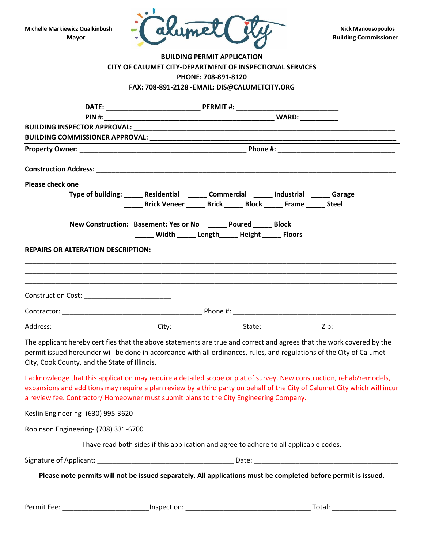

|                                                                                                                                        |  | <b>BUILDING PERMIT APPLICATION</b>                                                      |                                                                                                                            |  |  |  |
|----------------------------------------------------------------------------------------------------------------------------------------|--|-----------------------------------------------------------------------------------------|----------------------------------------------------------------------------------------------------------------------------|--|--|--|
| CITY OF CALUMET CITY-DEPARTMENT OF INSPECTIONAL SERVICES                                                                               |  |                                                                                         |                                                                                                                            |  |  |  |
|                                                                                                                                        |  | PHONE: 708-891-8120                                                                     |                                                                                                                            |  |  |  |
|                                                                                                                                        |  | FAX: 708-891-2128 - EMAIL: DIS@CALUMETCITY.ORG                                          |                                                                                                                            |  |  |  |
|                                                                                                                                        |  |                                                                                         |                                                                                                                            |  |  |  |
|                                                                                                                                        |  |                                                                                         |                                                                                                                            |  |  |  |
|                                                                                                                                        |  |                                                                                         |                                                                                                                            |  |  |  |
|                                                                                                                                        |  |                                                                                         |                                                                                                                            |  |  |  |
|                                                                                                                                        |  |                                                                                         |                                                                                                                            |  |  |  |
|                                                                                                                                        |  |                                                                                         |                                                                                                                            |  |  |  |
| Please check one                                                                                                                       |  |                                                                                         |                                                                                                                            |  |  |  |
|                                                                                                                                        |  | Type of building: ______ Residential ______ Commercial ______ Industrial ______ Garage  |                                                                                                                            |  |  |  |
|                                                                                                                                        |  | ______ Brick Veneer ______ Brick ______ Block ______ Frame ______ Steel                 |                                                                                                                            |  |  |  |
|                                                                                                                                        |  | New Construction: Basement: Yes or No ______ Poured ______ Block                        |                                                                                                                            |  |  |  |
|                                                                                                                                        |  | _____ Width _____ Length_____ Height _____ Floors                                       |                                                                                                                            |  |  |  |
|                                                                                                                                        |  |                                                                                         |                                                                                                                            |  |  |  |
| <b>REPAIRS OR ALTERATION DESCRIPTION:</b>                                                                                              |  |                                                                                         |                                                                                                                            |  |  |  |
|                                                                                                                                        |  |                                                                                         |                                                                                                                            |  |  |  |
|                                                                                                                                        |  |                                                                                         |                                                                                                                            |  |  |  |
|                                                                                                                                        |  |                                                                                         |                                                                                                                            |  |  |  |
|                                                                                                                                        |  |                                                                                         |                                                                                                                            |  |  |  |
| Address: ________________________________City: _________________________State: ______________________Zip: ____________________________ |  |                                                                                         |                                                                                                                            |  |  |  |
| The applicant hereby certifies that the above statements are true and correct and agrees that the work covered by the                  |  |                                                                                         |                                                                                                                            |  |  |  |
| permit issued hereunder will be done in accordance with all ordinances, rules, and regulations of the City of Calumet                  |  |                                                                                         |                                                                                                                            |  |  |  |
| City, Cook County, and the State of Illinois.                                                                                          |  |                                                                                         |                                                                                                                            |  |  |  |
| I acknowledge that this application may require a detailed scope or plat of survey. New construction, rehab/remodels,                  |  |                                                                                         |                                                                                                                            |  |  |  |
|                                                                                                                                        |  |                                                                                         | expansions and additions may require a plan review by a third party on behalf of the City of Calumet City which will incur |  |  |  |
| a review fee. Contractor/Homeowner must submit plans to the City Engineering Company.                                                  |  |                                                                                         |                                                                                                                            |  |  |  |
| Keslin Engineering- (630) 995-3620                                                                                                     |  |                                                                                         |                                                                                                                            |  |  |  |
| Robinson Engineering- (708) 331-6700                                                                                                   |  |                                                                                         |                                                                                                                            |  |  |  |
|                                                                                                                                        |  | I have read both sides if this application and agree to adhere to all applicable codes. |                                                                                                                            |  |  |  |
|                                                                                                                                        |  |                                                                                         |                                                                                                                            |  |  |  |
|                                                                                                                                        |  |                                                                                         | Please note permits will not be issued separately. All applications must be completed before permit is issued.             |  |  |  |
|                                                                                                                                        |  |                                                                                         |                                                                                                                            |  |  |  |
|                                                                                                                                        |  |                                                                                         |                                                                                                                            |  |  |  |
| Permit Fee:                                                                                                                            |  |                                                                                         | Total:                                                                                                                     |  |  |  |